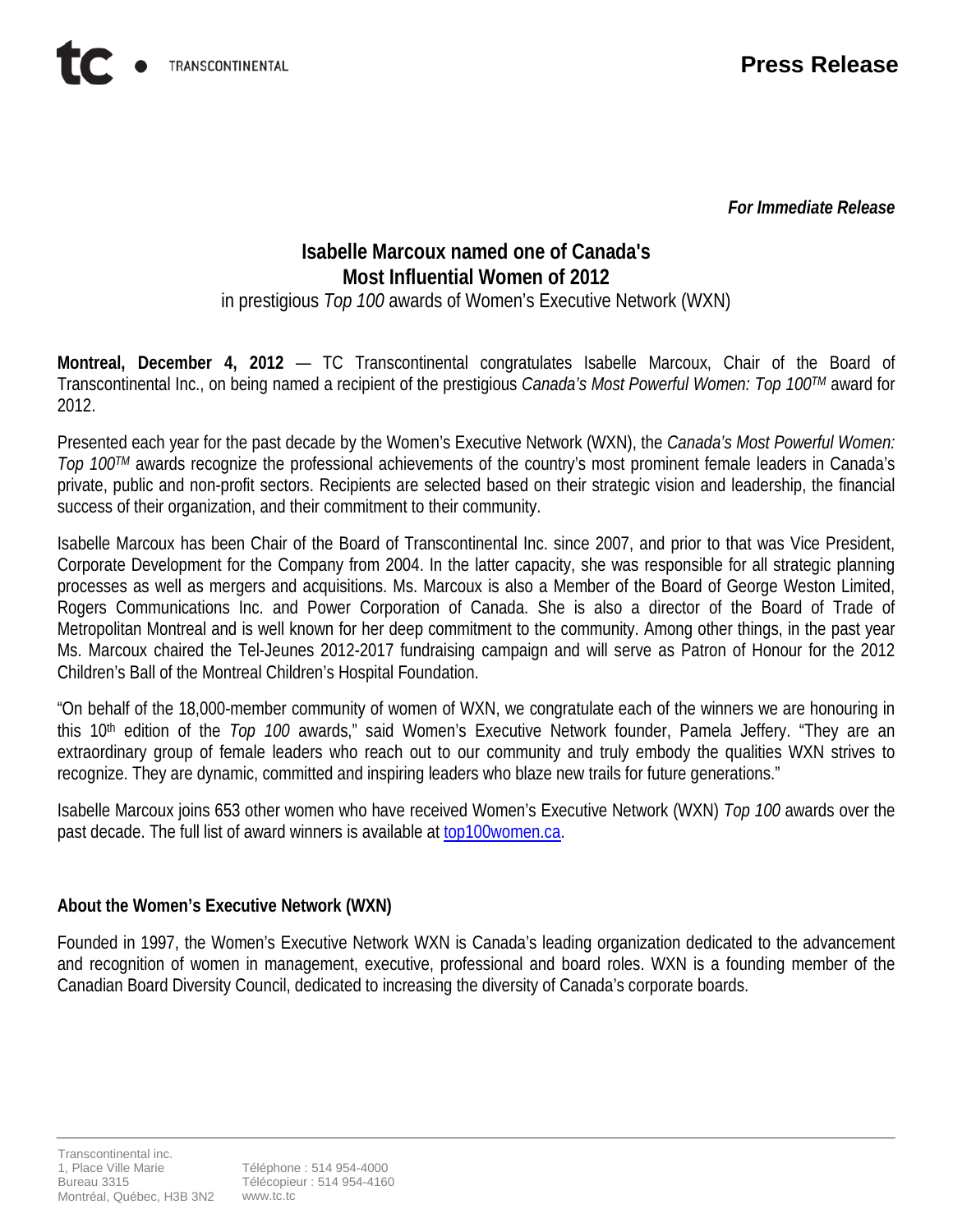*For Immediate Release*

# **Isabelle Marcoux named one of Canada's Most Influential Women of 2012**

in prestigious *Top 100* awards of Women's Executive Network (WXN)

**Montreal, December 4, 2012** — TC Transcontinental congratulates Isabelle Marcoux, Chair of the Board of Transcontinental Inc., on being named a recipient of the prestigious *Canada's Most Powerful Women: Top 100TM* award for 2012.

Presented each year for the past decade by the Women's Executive Network (WXN), the *Canada's Most Powerful Women: Top 100TM* awards recognize the professional achievements of the country's most prominent female leaders in Canada's private, public and non-profit sectors. Recipients are selected based on their strategic vision and leadership, the financial success of their organization, and their commitment to their community.

Isabelle Marcoux has been Chair of the Board of Transcontinental Inc. since 2007, and prior to that was Vice President, Corporate Development for the Company from 2004. In the latter capacity, she was responsible for all strategic planning processes as well as mergers and acquisitions. Ms. Marcoux is also a Member of the Board of George Weston Limited, Rogers Communications Inc. and Power Corporation of Canada. She is also a director of the Board of Trade of Metropolitan Montreal and is well known for her deep commitment to the community. Among other things, in the past year Ms. Marcoux chaired the Tel-Jeunes 2012-2017 fundraising campaign and will serve as Patron of Honour for the 2012 Children's Ball of the Montreal Children's Hospital Foundation.

"On behalf of the 18,000-member community of women of WXN, we congratulate each of the winners we are honouring in this 10<sup>th</sup> edition of the *Top 100* awards," said Women's Executive Network founder, Pamela Jeffery. "They are an extraordinary group of female leaders who reach out to our community and truly embody the qualities WXN strives to recognize. They are dynamic, committed and inspiring leaders who blaze new trails for future generations."

Isabelle Marcoux joins 653 other women who have received Women's Executive Network (WXN) *Top 100* awards over the past decade. The full list of award winners is available at [top100women.ca.](http://www.top100women.ca/)

## **About the Women's Executive Network (WXN)**

Founded in 1997, the Women's Executive Network WXN is Canada's leading organization dedicated to the advancement and recognition of women in management, executive, professional and board roles. WXN is a founding member of the Canadian Board Diversity Council, dedicated to increasing the diversity of Canada's corporate boards.